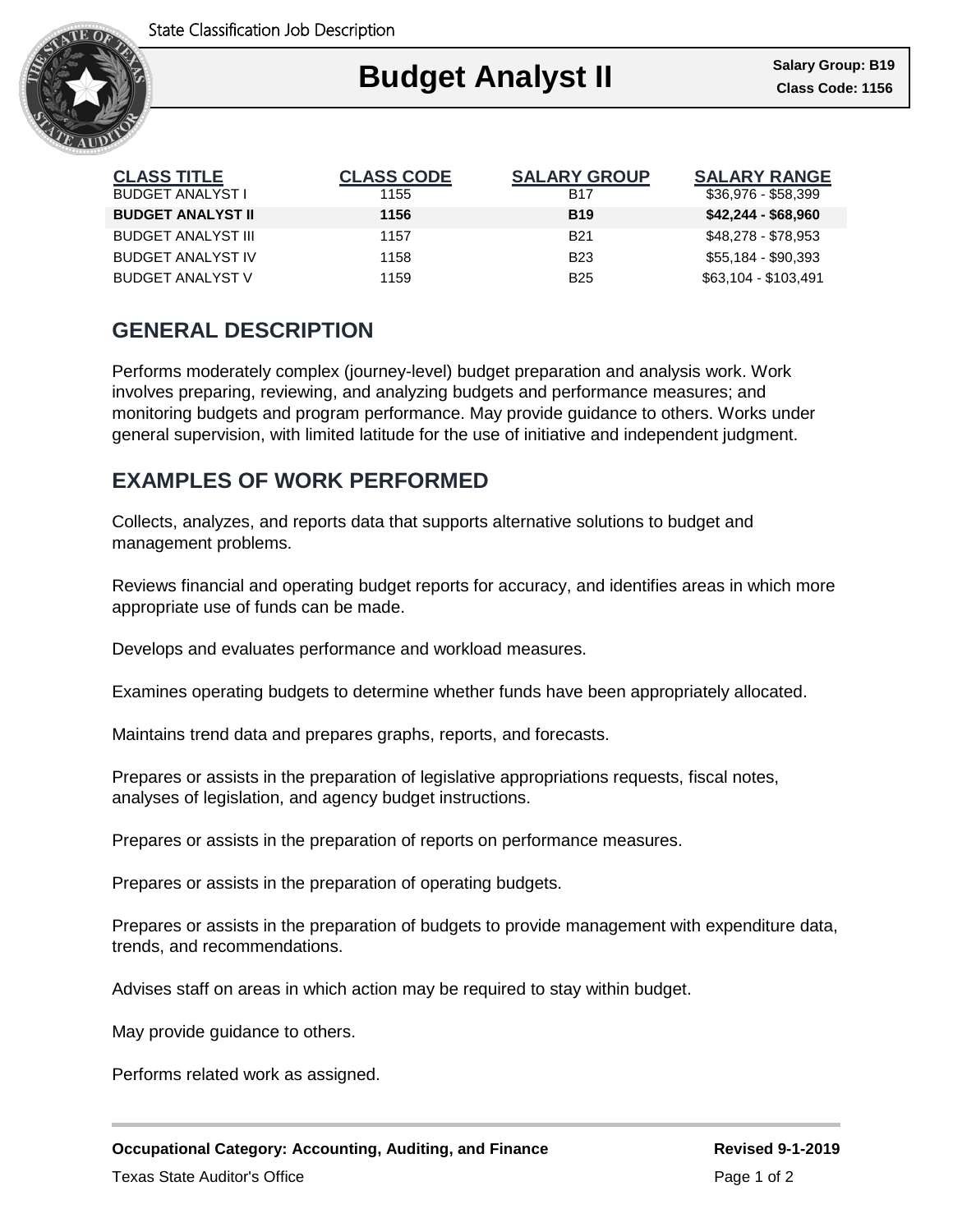

| <b>CLASS TITLE</b>        | <b>CLASS CODE</b> | <b>SALARY GROUP</b> | <b>SALARY RANGE</b>  |
|---------------------------|-------------------|---------------------|----------------------|
| <b>BUDGET ANALYST I</b>   | 1155              | <b>B17</b>          | $$36,976 - $58,399$  |
| <b>BUDGET ANALYST II</b>  | 1156              | <b>B19</b>          | $$42,244 - $68,960$  |
| <b>BUDGET ANALYST III</b> | 1157              | <b>B21</b>          | \$48,278 - \$78,953  |
| <b>BUDGET ANALYST IV</b>  | 1158              | <b>B23</b>          | \$55,184 - \$90,393  |
| <b>BUDGET ANALYST V</b>   | 1159              | <b>B25</b>          | \$63,104 - \$103,491 |

## **GENERAL DESCRIPTION**

Performs moderately complex (journey-level) budget preparation and analysis work. Work involves preparing, reviewing, and analyzing budgets and performance measures; and monitoring budgets and program performance. May provide guidance to others. Works under general supervision, with limited latitude for the use of initiative and independent judgment.

### **EXAMPLES OF WORK PERFORMED**

Collects, analyzes, and reports data that supports alternative solutions to budget and management problems.

Reviews financial and operating budget reports for accuracy, and identifies areas in which more appropriate use of funds can be made.

Develops and evaluates performance and workload measures.

Examines operating budgets to determine whether funds have been appropriately allocated.

Maintains trend data and prepares graphs, reports, and forecasts.

Prepares or assists in the preparation of legislative appropriations requests, fiscal notes, analyses of legislation, and agency budget instructions.

Prepares or assists in the preparation of reports on performance measures.

Prepares or assists in the preparation of operating budgets.

Prepares or assists in the preparation of budgets to provide management with expenditure data, trends, and recommendations.

Advises staff on areas in which action may be required to stay within budget.

May provide guidance to others.

Performs related work as assigned.